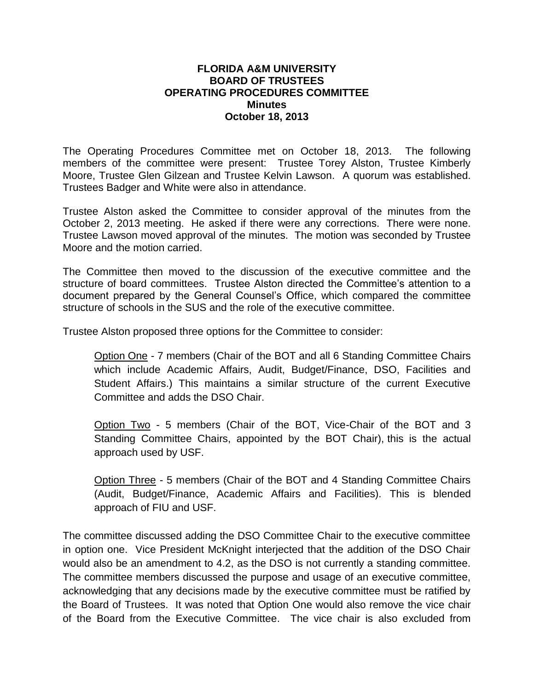## **FLORIDA A&M UNIVERSITY BOARD OF TRUSTEES OPERATING PROCEDURES COMMITTEE Minutes October 18, 2013**

The Operating Procedures Committee met on October 18, 2013. The following members of the committee were present: Trustee Torey Alston, Trustee Kimberly Moore, Trustee Glen Gilzean and Trustee Kelvin Lawson. A quorum was established. Trustees Badger and White were also in attendance.

Trustee Alston asked the Committee to consider approval of the minutes from the October 2, 2013 meeting. He asked if there were any corrections. There were none. Trustee Lawson moved approval of the minutes. The motion was seconded by Trustee Moore and the motion carried.

The Committee then moved to the discussion of the executive committee and the structure of board committees. Trustee Alston directed the Committee's attention to a document prepared by the General Counsel's Office, which compared the committee structure of schools in the SUS and the role of the executive committee.

Trustee Alston proposed three options for the Committee to consider:

Option One - 7 members (Chair of the BOT and all 6 Standing Committee Chairs which include Academic Affairs, Audit, Budget/Finance, DSO, Facilities and Student Affairs.) This maintains a similar structure of the current Executive Committee and adds the DSO Chair.

Option Two - 5 members (Chair of the BOT, Vice-Chair of the BOT and 3 Standing Committee Chairs, appointed by the BOT Chair), this is the actual approach used by USF.

Option Three - 5 members (Chair of the BOT and 4 Standing Committee Chairs (Audit, Budget/Finance, Academic Affairs and Facilities). This is blended approach of FIU and USF.

The committee discussed adding the DSO Committee Chair to the executive committee in option one. Vice President McKnight interjected that the addition of the DSO Chair would also be an amendment to 4.2, as the DSO is not currently a standing committee. The committee members discussed the purpose and usage of an executive committee, acknowledging that any decisions made by the executive committee must be ratified by the Board of Trustees. It was noted that Option One would also remove the vice chair of the Board from the Executive Committee. The vice chair is also excluded from